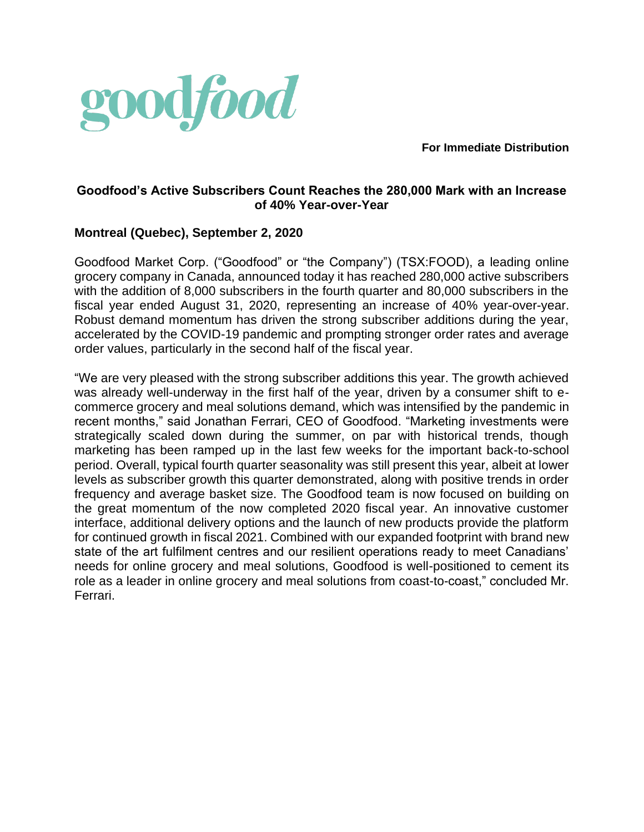

**For Immediate Distribution**

# **Goodfood's Active Subscribers Count Reaches the 280,000 Mark with an Increase of 40% Year-over-Year**

# **Montreal (Quebec), September 2, 2020**

Goodfood Market Corp. ("Goodfood" or "the Company") (TSX:FOOD), a leading online grocery company in Canada, announced today it has reached 280,000 active subscribers with the addition of 8,000 subscribers in the fourth quarter and 80,000 subscribers in the fiscal year ended August 31, 2020, representing an increase of 40% year-over-year. Robust demand momentum has driven the strong subscriber additions during the year, accelerated by the COVID-19 pandemic and prompting stronger order rates and average order values, particularly in the second half of the fiscal year.

"We are very pleased with the strong subscriber additions this year. The growth achieved was already well-underway in the first half of the year, driven by a consumer shift to ecommerce grocery and meal solutions demand, which was intensified by the pandemic in recent months," said Jonathan Ferrari, CEO of Goodfood. "Marketing investments were strategically scaled down during the summer, on par with historical trends, though marketing has been ramped up in the last few weeks for the important back-to-school period. Overall, typical fourth quarter seasonality was still present this year, albeit at lower levels as subscriber growth this quarter demonstrated, along with positive trends in order frequency and average basket size. The Goodfood team is now focused on building on the great momentum of the now completed 2020 fiscal year. An innovative customer interface, additional delivery options and the launch of new products provide the platform for continued growth in fiscal 2021. Combined with our expanded footprint with brand new state of the art fulfilment centres and our resilient operations ready to meet Canadians' needs for online grocery and meal solutions, Goodfood is well-positioned to cement its role as a leader in online grocery and meal solutions from coast-to-coast," concluded Mr. Ferrari.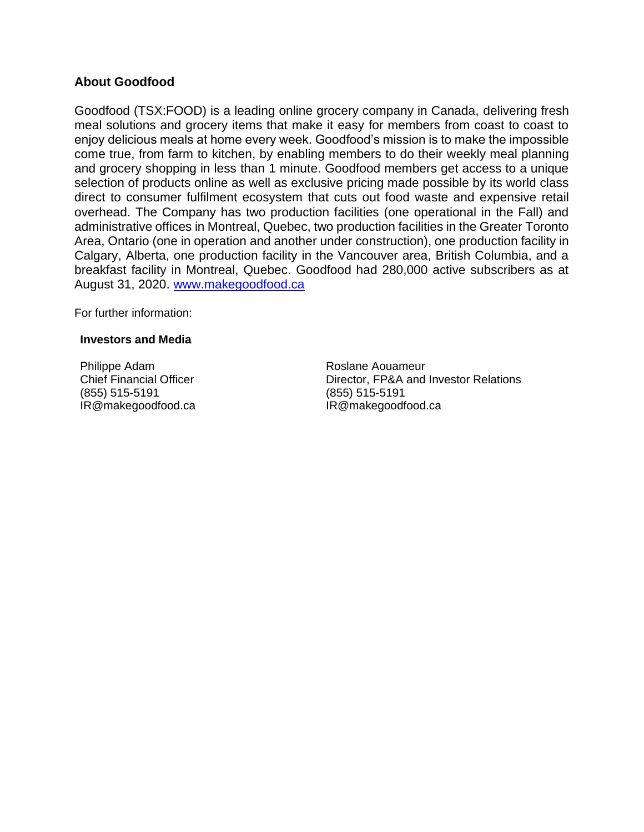## **About Goodfood**

Goodfood (TSX:FOOD) is a leading online grocery company in Canada, delivering fresh meal solutions and grocery items that make it easy for members from coast to coast to enjoy delicious meals at home every week. Goodfood's mission is to make the impossible come true, from farm to kitchen, by enabling members to do their weekly meal planning and grocery shopping in less than 1 minute. Goodfood members get access to a unique selection of products online as well as exclusive pricing made possible by its world class direct to consumer fulfilment ecosystem that cuts out food waste and expensive retail overhead. The Company has two production facilities (one operational in the Fall) and administrative offices in Montreal, Quebec, two production facilities in the Greater Toronto Area, Ontario (one in operation and another under construction), one production facility in Calgary, Alberta, one production facility in the Vancouver area, British Columbia, and a breakfast facility in Montreal, Quebec. Goodfood had 280,000 active subscribers as at August 31, 2020. [www.makegoodfood.ca](http://www.makegoodfood.ca/)

For further information:

#### **Investors and Media**

Philippe Adam Chief Financial Officer (855) 515-5191 IR@makegoodfood.ca Roslane Aouameur Director, FP&A and Investor Relations (855) 515-5191 IR@makegoodfood.ca